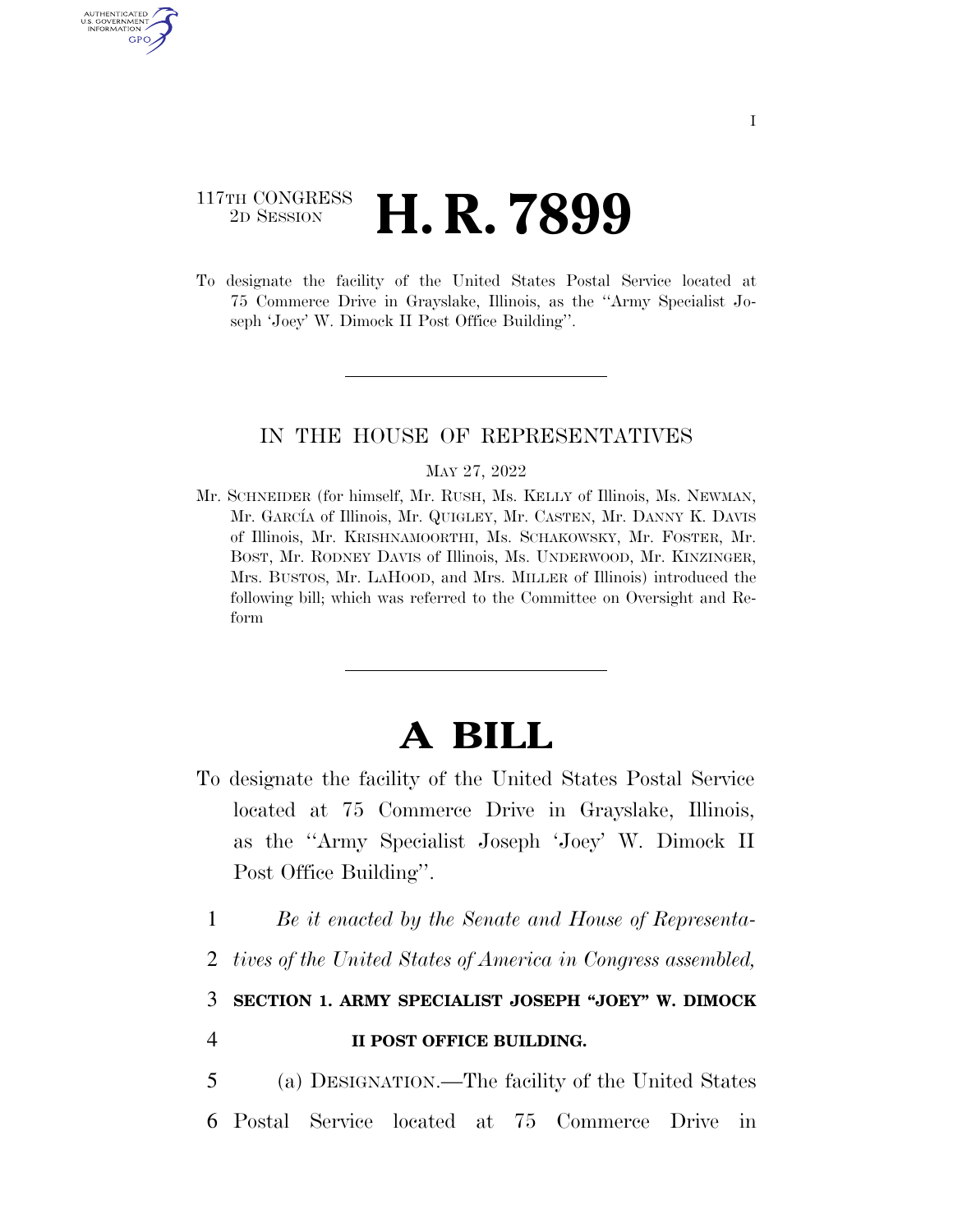## 117TH CONGRESS <sup>2D SESSION</sup> **H. R. 7899**

U.S. GOVERNMENT GPO

> To designate the facility of the United States Postal Service located at 75 Commerce Drive in Grayslake, Illinois, as the ''Army Specialist Joseph 'Joey' W. Dimock II Post Office Building''.

## IN THE HOUSE OF REPRESENTATIVES

## MAY 27, 2022

Mr. SCHNEIDER (for himself, Mr. RUSH, Ms. KELLY of Illinois, Ms. NEWMAN, Mr. GARCÍA of Illinois, Mr. QUIGLEY, Mr. CASTEN, Mr. DANNY K. DAVIS of Illinois, Mr. KRISHNAMOORTHI, Ms. SCHAKOWSKY, Mr. FOSTER, Mr. BOST, Mr. RODNEY DAVIS of Illinois, Ms. UNDERWOOD, Mr. KINZINGER, Mrs. BUSTOS, Mr. LAHOOD, and Mrs. MILLER of Illinois) introduced the following bill; which was referred to the Committee on Oversight and Reform

## **A BILL**

- To designate the facility of the United States Postal Service located at 75 Commerce Drive in Grayslake, Illinois, as the ''Army Specialist Joseph 'Joey' W. Dimock II Post Office Building''.
	- 1 *Be it enacted by the Senate and House of Representa-*
	- 2 *tives of the United States of America in Congress assembled,*

3 **SECTION 1. ARMY SPECIALIST JOSEPH ''JOEY'' W. DIMOCK** 

4 **II POST OFFICE BUILDING.** 

5 (a) DESIGNATION.—The facility of the United States 6 Postal Service located at 75 Commerce Drive in